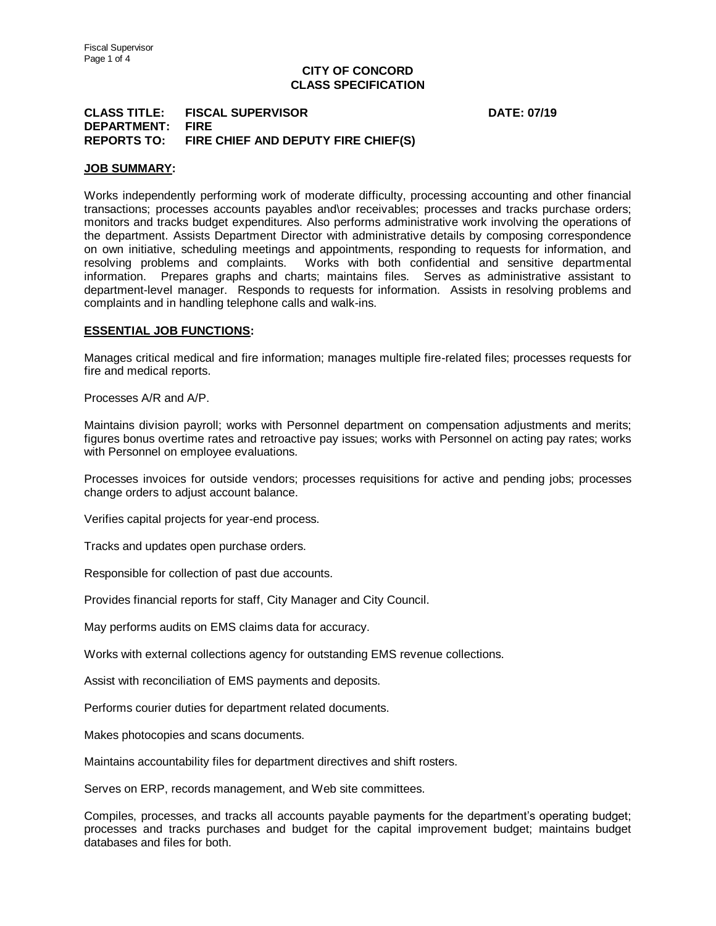# **CITY OF CONCORD CLASS SPECIFICATION**

# **CLASS TITLE: FISCAL SUPERVISOR DATE: 07/19 DEPARTMENT: FIRE REPORTS TO: FIRE CHIEF AND DEPUTY FIRE CHIEF(S)**

#### **JOB SUMMARY:**

Works independently performing work of moderate difficulty, processing accounting and other financial transactions; processes accounts payables and\or receivables; processes and tracks purchase orders; monitors and tracks budget expenditures. Also performs administrative work involving the operations of the department. Assists Department Director with administrative details by composing correspondence on own initiative, scheduling meetings and appointments, responding to requests for information, and resolving problems and complaints. Works with both confidential and sensitive departmental information. Prepares graphs and charts; maintains files. Serves as administrative assistant to department-level manager. Responds to requests for information. Assists in resolving problems and complaints and in handling telephone calls and walk-ins.

### **ESSENTIAL JOB FUNCTIONS:**

Manages critical medical and fire information; manages multiple fire-related files; processes requests for fire and medical reports.

Processes A/R and A/P.

Maintains division payroll; works with Personnel department on compensation adjustments and merits; figures bonus overtime rates and retroactive pay issues; works with Personnel on acting pay rates; works with Personnel on employee evaluations.

Processes invoices for outside vendors; processes requisitions for active and pending jobs; processes change orders to adjust account balance.

Verifies capital projects for year-end process.

Tracks and updates open purchase orders.

Responsible for collection of past due accounts.

Provides financial reports for staff, City Manager and City Council.

May performs audits on EMS claims data for accuracy.

Works with external collections agency for outstanding EMS revenue collections.

Assist with reconciliation of EMS payments and deposits.

Performs courier duties for department related documents.

Makes photocopies and scans documents.

Maintains accountability files for department directives and shift rosters.

Serves on ERP, records management, and Web site committees.

Compiles, processes, and tracks all accounts payable payments for the department's operating budget; processes and tracks purchases and budget for the capital improvement budget; maintains budget databases and files for both.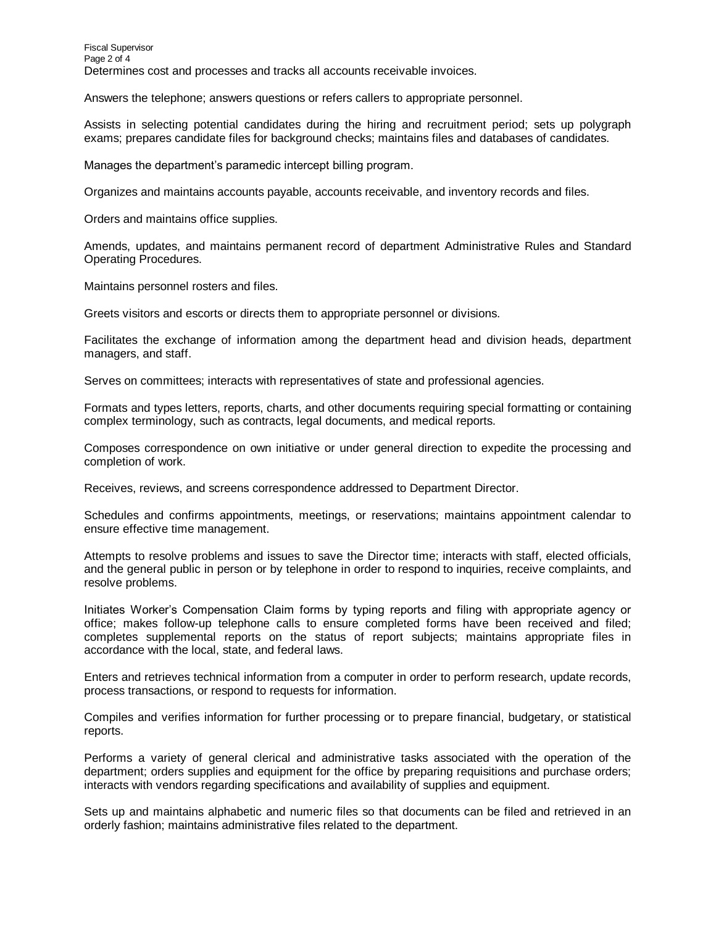Answers the telephone; answers questions or refers callers to appropriate personnel.

Assists in selecting potential candidates during the hiring and recruitment period; sets up polygraph exams; prepares candidate files for background checks; maintains files and databases of candidates.

Manages the department's paramedic intercept billing program.

Organizes and maintains accounts payable, accounts receivable, and inventory records and files.

Orders and maintains office supplies.

Amends, updates, and maintains permanent record of department Administrative Rules and Standard Operating Procedures.

Maintains personnel rosters and files.

Greets visitors and escorts or directs them to appropriate personnel or divisions.

Facilitates the exchange of information among the department head and division heads, department managers, and staff.

Serves on committees; interacts with representatives of state and professional agencies.

Formats and types letters, reports, charts, and other documents requiring special formatting or containing complex terminology, such as contracts, legal documents, and medical reports.

Composes correspondence on own initiative or under general direction to expedite the processing and completion of work.

Receives, reviews, and screens correspondence addressed to Department Director.

Schedules and confirms appointments, meetings, or reservations; maintains appointment calendar to ensure effective time management.

Attempts to resolve problems and issues to save the Director time; interacts with staff, elected officials, and the general public in person or by telephone in order to respond to inquiries, receive complaints, and resolve problems.

Initiates Worker's Compensation Claim forms by typing reports and filing with appropriate agency or office; makes follow-up telephone calls to ensure completed forms have been received and filed; completes supplemental reports on the status of report subjects; maintains appropriate files in accordance with the local, state, and federal laws.

Enters and retrieves technical information from a computer in order to perform research, update records, process transactions, or respond to requests for information.

Compiles and verifies information for further processing or to prepare financial, budgetary, or statistical reports.

Performs a variety of general clerical and administrative tasks associated with the operation of the department; orders supplies and equipment for the office by preparing requisitions and purchase orders; interacts with vendors regarding specifications and availability of supplies and equipment.

Sets up and maintains alphabetic and numeric files so that documents can be filed and retrieved in an orderly fashion; maintains administrative files related to the department.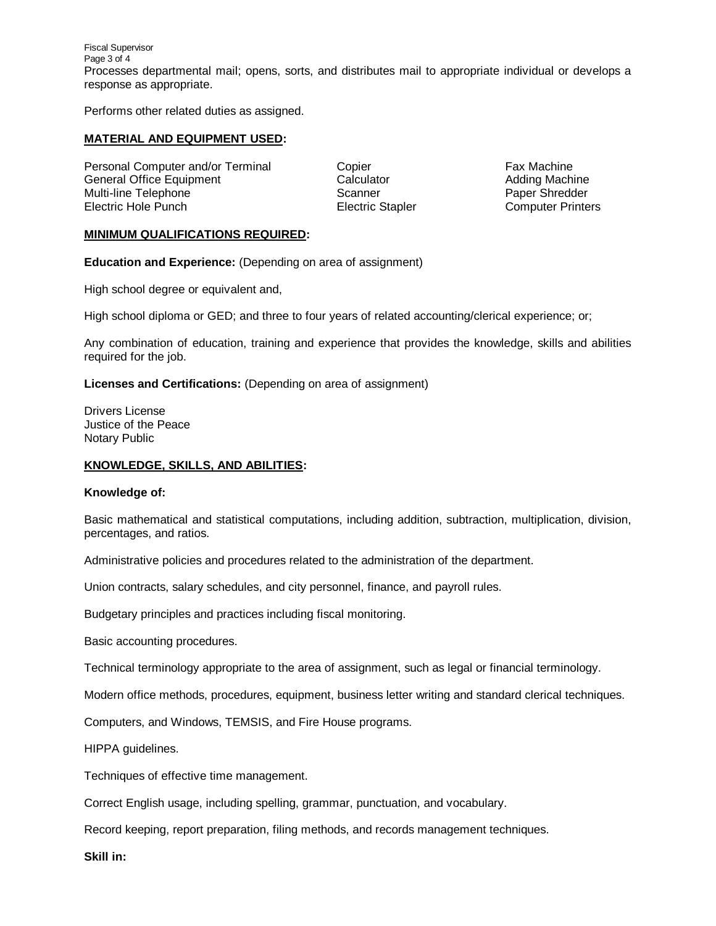Fiscal Supervisor Page 3 of 4 Processes departmental mail; opens, sorts, and distributes mail to appropriate individual or develops a response as appropriate.

Performs other related duties as assigned.

## **MATERIAL AND EQUIPMENT USED:**

Personal Computer and/or Terminal Copier Copier Fax Machine General Office Equipment Calculator Calculator Calculator Adding Machine Multi-line Telephone **Scanner** Scanner Paper Shredder Electric Hole Punch **Electric Stapler** Electric Stapler Computer Printers

## **MINIMUM QUALIFICATIONS REQUIRED:**

**Education and Experience:** (Depending on area of assignment)

High school degree or equivalent and,

High school diploma or GED; and three to four years of related accounting/clerical experience; or;

Any combination of education, training and experience that provides the knowledge, skills and abilities required for the job.

**Licenses and Certifications:** (Depending on area of assignment)

Drivers License Justice of the Peace Notary Public

## **KNOWLEDGE, SKILLS, AND ABILITIES:**

#### **Knowledge of:**

Basic mathematical and statistical computations, including addition, subtraction, multiplication, division, percentages, and ratios.

Administrative policies and procedures related to the administration of the department.

Union contracts, salary schedules, and city personnel, finance, and payroll rules.

Budgetary principles and practices including fiscal monitoring.

Basic accounting procedures.

Technical terminology appropriate to the area of assignment, such as legal or financial terminology.

Modern office methods, procedures, equipment, business letter writing and standard clerical techniques.

Computers, and Windows, TEMSIS, and Fire House programs.

HIPPA guidelines.

Techniques of effective time management.

Correct English usage, including spelling, grammar, punctuation, and vocabulary.

Record keeping, report preparation, filing methods, and records management techniques.

**Skill in:**